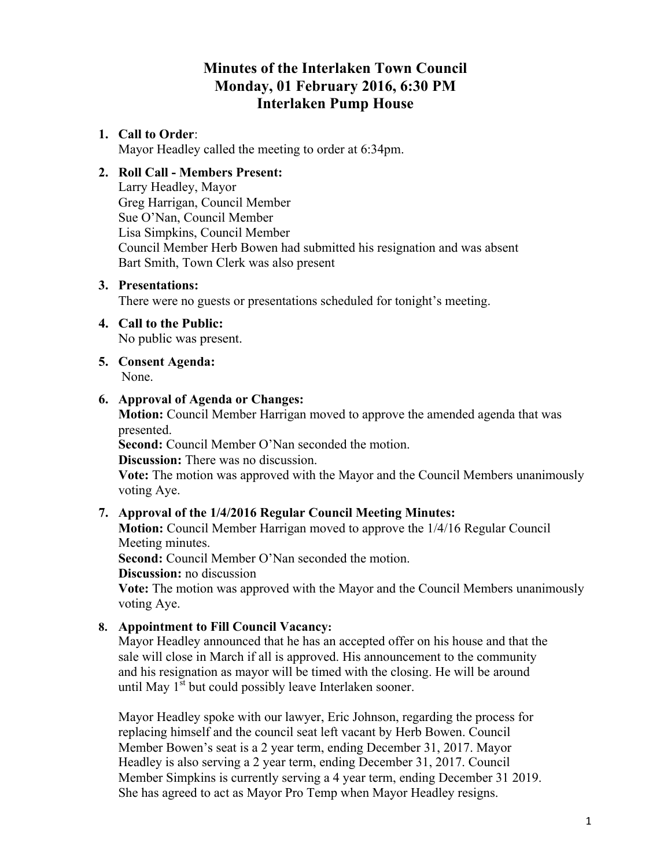# **Minutes of the Interlaken Town Council Monday, 01 February 2016, 6:30 PM Interlaken Pump House**

# **1. Call to Order**:

Mayor Headley called the meeting to order at 6:34pm.

# **2. Roll Call - Members Present:**

Larry Headley, Mayor Greg Harrigan, Council Member Sue O'Nan, Council Member Lisa Simpkins, Council Member Council Member Herb Bowen had submitted his resignation and was absent Bart Smith, Town Clerk was also present

# **3. Presentations:**

There were no guests or presentations scheduled for tonight's meeting.

# **4. Call to the Public:**

No public was present.

# **5. Consent Agenda:**

None.

# **6. Approval of Agenda or Changes:**

**Motion:** Council Member Harrigan moved to approve the amended agenda that was presented.

**Second:** Council Member O'Nan seconded the motion.

**Discussion:** There was no discussion.

**Vote:** The motion was approved with the Mayor and the Council Members unanimously voting Aye.

# **7. Approval of the 1/4/2016 Regular Council Meeting Minutes:**

**Motion:** Council Member Harrigan moved to approve the 1/4/16 Regular Council Meeting minutes.

**Second:** Council Member O'Nan seconded the motion.

**Discussion:** no discussion

**Vote:** The motion was approved with the Mayor and the Council Members unanimously voting Aye.

# **8. Appointment to Fill Council Vacancy:**

Mayor Headley announced that he has an accepted offer on his house and that the sale will close in March if all is approved. His announcement to the community and his resignation as mayor will be timed with the closing. He will be around until May  $1<sup>st</sup>$  but could possibly leave Interlaken sooner.

Mayor Headley spoke with our lawyer, Eric Johnson, regarding the process for replacing himself and the council seat left vacant by Herb Bowen. Council Member Bowen's seat is a 2 year term, ending December 31, 2017. Mayor Headley is also serving a 2 year term, ending December 31, 2017. Council Member Simpkins is currently serving a 4 year term, ending December 31 2019. She has agreed to act as Mayor Pro Temp when Mayor Headley resigns.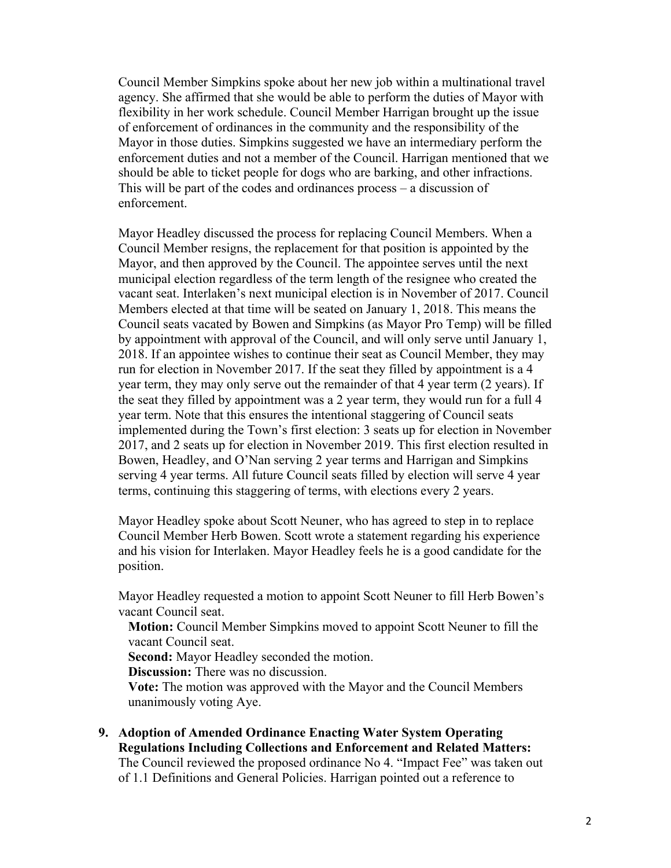Council Member Simpkins spoke about her new job within a multinational travel agency. She affirmed that she would be able to perform the duties of Mayor with flexibility in her work schedule. Council Member Harrigan brought up the issue of enforcement of ordinances in the community and the responsibility of the Mayor in those duties. Simpkins suggested we have an intermediary perform the enforcement duties and not a member of the Council. Harrigan mentioned that we should be able to ticket people for dogs who are barking, and other infractions. This will be part of the codes and ordinances process – a discussion of enforcement.

Mayor Headley discussed the process for replacing Council Members. When a Council Member resigns, the replacement for that position is appointed by the Mayor, and then approved by the Council. The appointee serves until the next municipal election regardless of the term length of the resignee who created the vacant seat. Interlaken's next municipal election is in November of 2017. Council Members elected at that time will be seated on January 1, 2018. This means the Council seats vacated by Bowen and Simpkins (as Mayor Pro Temp) will be filled by appointment with approval of the Council, and will only serve until January 1, 2018. If an appointee wishes to continue their seat as Council Member, they may run for election in November 2017. If the seat they filled by appointment is a 4 year term, they may only serve out the remainder of that 4 year term (2 years). If the seat they filled by appointment was a 2 year term, they would run for a full 4 year term. Note that this ensures the intentional staggering of Council seats implemented during the Town's first election: 3 seats up for election in November 2017, and 2 seats up for election in November 2019. This first election resulted in Bowen, Headley, and O'Nan serving 2 year terms and Harrigan and Simpkins serving 4 year terms. All future Council seats filled by election will serve 4 year terms, continuing this staggering of terms, with elections every 2 years.

Mayor Headley spoke about Scott Neuner, who has agreed to step in to replace Council Member Herb Bowen. Scott wrote a statement regarding his experience and his vision for Interlaken. Mayor Headley feels he is a good candidate for the position.

Mayor Headley requested a motion to appoint Scott Neuner to fill Herb Bowen's vacant Council seat.

**Motion:** Council Member Simpkins moved to appoint Scott Neuner to fill the vacant Council seat.

**Second:** Mayor Headley seconded the motion.

**Discussion:** There was no discussion.

**Vote:** The motion was approved with the Mayor and the Council Members unanimously voting Aye.

**9. Adoption of Amended Ordinance Enacting Water System Operating Regulations Including Collections and Enforcement and Related Matters:** The Council reviewed the proposed ordinance No 4. "Impact Fee" was taken out of 1.1 Definitions and General Policies. Harrigan pointed out a reference to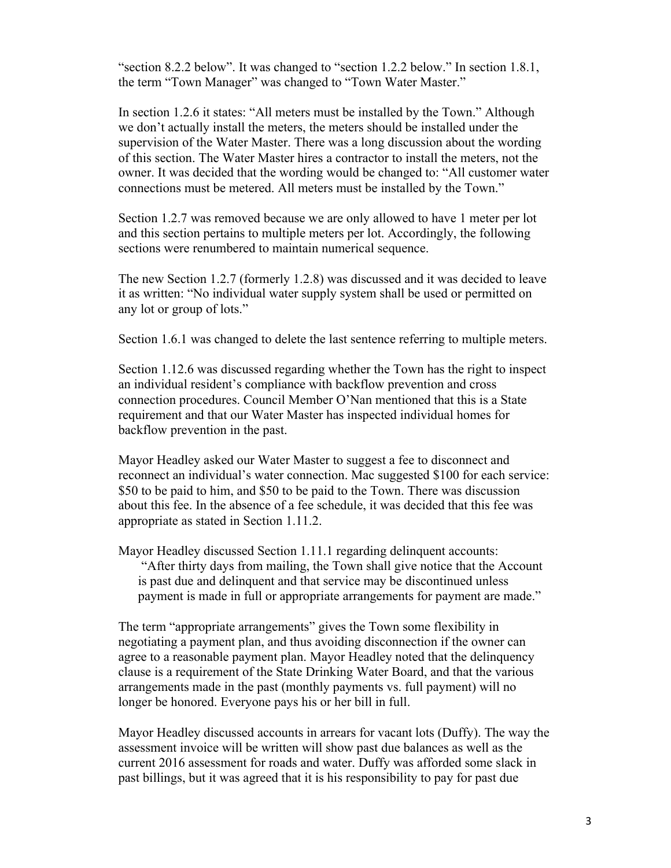"section 8.2.2 below". It was changed to "section 1.2.2 below." In section 1.8.1, the term "Town Manager" was changed to "Town Water Master."

In section 1.2.6 it states: "All meters must be installed by the Town." Although we don't actually install the meters, the meters should be installed under the supervision of the Water Master. There was a long discussion about the wording of this section. The Water Master hires a contractor to install the meters, not the owner. It was decided that the wording would be changed to: "All customer water connections must be metered. All meters must be installed by the Town."

Section 1.2.7 was removed because we are only allowed to have 1 meter per lot and this section pertains to multiple meters per lot. Accordingly, the following sections were renumbered to maintain numerical sequence.

The new Section 1.2.7 (formerly 1.2.8) was discussed and it was decided to leave it as written: "No individual water supply system shall be used or permitted on any lot or group of lots."

Section 1.6.1 was changed to delete the last sentence referring to multiple meters.

Section 1.12.6 was discussed regarding whether the Town has the right to inspect an individual resident's compliance with backflow prevention and cross connection procedures. Council Member O'Nan mentioned that this is a State requirement and that our Water Master has inspected individual homes for backflow prevention in the past.

Mayor Headley asked our Water Master to suggest a fee to disconnect and reconnect an individual's water connection. Mac suggested \$100 for each service: \$50 to be paid to him, and \$50 to be paid to the Town. There was discussion about this fee. In the absence of a fee schedule, it was decided that this fee was appropriate as stated in Section 1.11.2.

Mayor Headley discussed Section 1.11.1 regarding delinquent accounts: "After thirty days from mailing, the Town shall give notice that the Account is past due and delinquent and that service may be discontinued unless payment is made in full or appropriate arrangements for payment are made."

The term "appropriate arrangements" gives the Town some flexibility in negotiating a payment plan, and thus avoiding disconnection if the owner can agree to a reasonable payment plan. Mayor Headley noted that the delinquency clause is a requirement of the State Drinking Water Board, and that the various arrangements made in the past (monthly payments vs. full payment) will no longer be honored. Everyone pays his or her bill in full.

Mayor Headley discussed accounts in arrears for vacant lots (Duffy). The way the assessment invoice will be written will show past due balances as well as the current 2016 assessment for roads and water. Duffy was afforded some slack in past billings, but it was agreed that it is his responsibility to pay for past due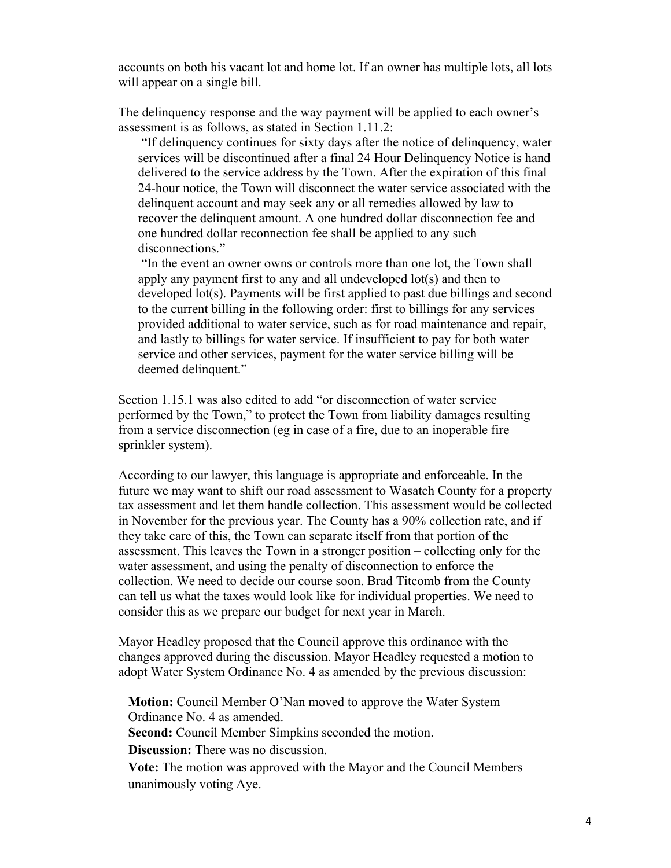accounts on both his vacant lot and home lot. If an owner has multiple lots, all lots will appear on a single bill.

The delinquency response and the way payment will be applied to each owner's assessment is as follows, as stated in Section 1.11.2:

"If delinquency continues for sixty days after the notice of delinquency, water services will be discontinued after a final 24 Hour Delinquency Notice is hand delivered to the service address by the Town. After the expiration of this final 24-hour notice, the Town will disconnect the water service associated with the delinquent account and may seek any or all remedies allowed by law to recover the delinquent amount. A one hundred dollar disconnection fee and one hundred dollar reconnection fee shall be applied to any such disconnections."

"In the event an owner owns or controls more than one lot, the Town shall apply any payment first to any and all undeveloped lot(s) and then to developed lot(s). Payments will be first applied to past due billings and second to the current billing in the following order: first to billings for any services provided additional to water service, such as for road maintenance and repair, and lastly to billings for water service. If insufficient to pay for both water service and other services, payment for the water service billing will be deemed delinquent."

Section 1.15.1 was also edited to add "or disconnection of water service performed by the Town," to protect the Town from liability damages resulting from a service disconnection (eg in case of a fire, due to an inoperable fire sprinkler system).

According to our lawyer, this language is appropriate and enforceable. In the future we may want to shift our road assessment to Wasatch County for a property tax assessment and let them handle collection. This assessment would be collected in November for the previous year. The County has a 90% collection rate, and if they take care of this, the Town can separate itself from that portion of the assessment. This leaves the Town in a stronger position – collecting only for the water assessment, and using the penalty of disconnection to enforce the collection. We need to decide our course soon. Brad Titcomb from the County can tell us what the taxes would look like for individual properties. We need to consider this as we prepare our budget for next year in March.

Mayor Headley proposed that the Council approve this ordinance with the changes approved during the discussion. Mayor Headley requested a motion to adopt Water System Ordinance No. 4 as amended by the previous discussion:

**Motion:** Council Member O'Nan moved to approve the Water System Ordinance No. 4 as amended.

**Second:** Council Member Simpkins seconded the motion.

**Discussion:** There was no discussion.

**Vote:** The motion was approved with the Mayor and the Council Members unanimously voting Aye.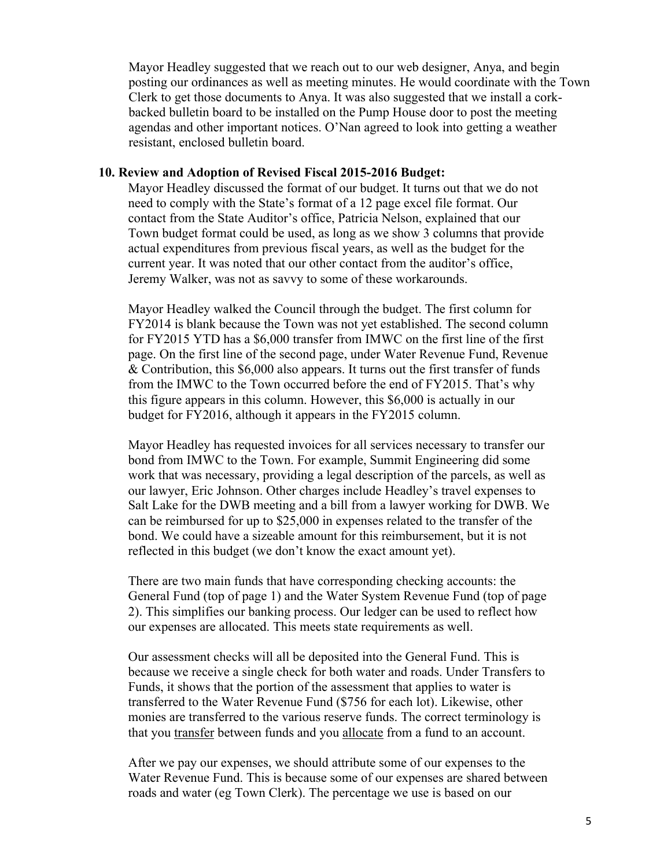Mayor Headley suggested that we reach out to our web designer, Anya, and begin posting our ordinances as well as meeting minutes. He would coordinate with the Town Clerk to get those documents to Anya. It was also suggested that we install a corkbacked bulletin board to be installed on the Pump House door to post the meeting agendas and other important notices. O'Nan agreed to look into getting a weather resistant, enclosed bulletin board.

#### **10. Review and Adoption of Revised Fiscal 2015-2016 Budget:**

Mayor Headley discussed the format of our budget. It turns out that we do not need to comply with the State's format of a 12 page excel file format. Our contact from the State Auditor's office, Patricia Nelson, explained that our Town budget format could be used, as long as we show 3 columns that provide actual expenditures from previous fiscal years, as well as the budget for the current year. It was noted that our other contact from the auditor's office, Jeremy Walker, was not as savvy to some of these workarounds.

Mayor Headley walked the Council through the budget. The first column for FY2014 is blank because the Town was not yet established. The second column for FY2015 YTD has a \$6,000 transfer from IMWC on the first line of the first page. On the first line of the second page, under Water Revenue Fund, Revenue & Contribution, this \$6,000 also appears. It turns out the first transfer of funds from the IMWC to the Town occurred before the end of FY2015. That's why this figure appears in this column. However, this \$6,000 is actually in our budget for FY2016, although it appears in the FY2015 column.

Mayor Headley has requested invoices for all services necessary to transfer our bond from IMWC to the Town. For example, Summit Engineering did some work that was necessary, providing a legal description of the parcels, as well as our lawyer, Eric Johnson. Other charges include Headley's travel expenses to Salt Lake for the DWB meeting and a bill from a lawyer working for DWB. We can be reimbursed for up to \$25,000 in expenses related to the transfer of the bond. We could have a sizeable amount for this reimbursement, but it is not reflected in this budget (we don't know the exact amount yet).

There are two main funds that have corresponding checking accounts: the General Fund (top of page 1) and the Water System Revenue Fund (top of page 2). This simplifies our banking process. Our ledger can be used to reflect how our expenses are allocated. This meets state requirements as well.

Our assessment checks will all be deposited into the General Fund. This is because we receive a single check for both water and roads. Under Transfers to Funds, it shows that the portion of the assessment that applies to water is transferred to the Water Revenue Fund (\$756 for each lot). Likewise, other monies are transferred to the various reserve funds. The correct terminology is that you transfer between funds and you allocate from a fund to an account.

After we pay our expenses, we should attribute some of our expenses to the Water Revenue Fund. This is because some of our expenses are shared between roads and water (eg Town Clerk). The percentage we use is based on our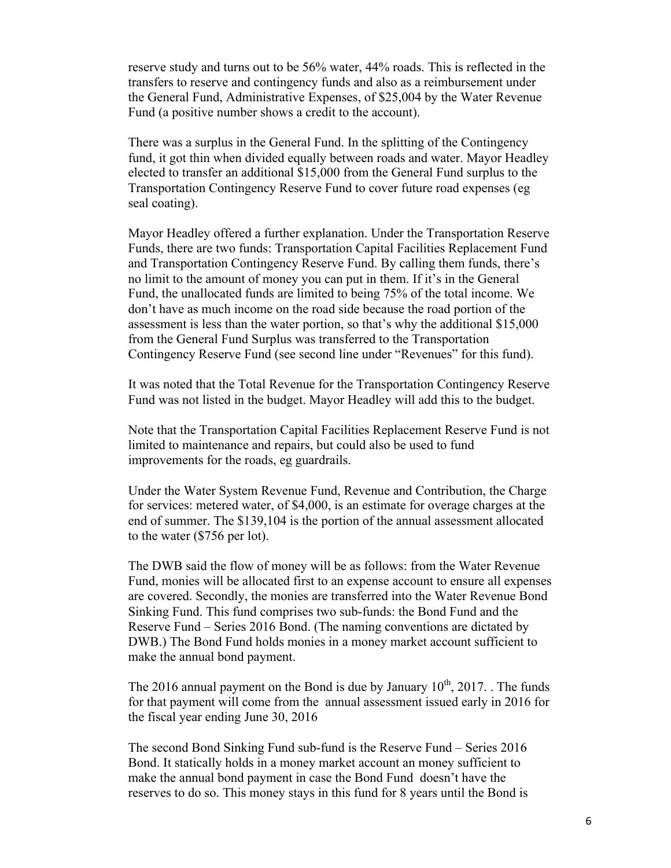reserve study and turns out to be 56% water, 44% roads. This is reflected in the transfers to reserve and contingency funds and also as a reimbursement under the General Fund, Administrative Expenses, of \$25,004 by the Water Revenue Fund (a positive number shows a credit to the account).

There was a surplus in the General Fund. In the splitting of the Contingency fund, it got thin when divided equally between roads and water. Mayor Headley elected to transfer an additional \$15,000 from the General Fund surplus to the Transportation Contingency Reserve Fund to cover future road expenses (eg seal coating).

Mayor Headley offered a further explanation. Under the Transportation Reserve Funds, there are two funds: Transportation Capital Facilities Replacement Fund and Transportation Contingency Reserve Fund. By calling them funds, there's no limit to the amount of money you can put in them. If it's in the General Fund, the unallocated funds are limited to being 75% of the total income. We don't have as much income on the road side because the road portion of the assessment is less than the water portion, so that's why the additional \$15,000 from the General Fund Surplus was transferred to the Transportation Contingency Reserve Fund (see second line under "Revenues" for this fund).

It was noted that the Total Revenue for the Transportation Contingency Reserve Fund was not listed in the budget. Mayor Headley will add this to the budget.

Note that the Transportation Capital Facilities Replacement Reserve Fund is not limited to maintenance and repairs, but could also be used to fund improvements for the roads, eg guardrails.

Under the Water System Revenue Fund, Revenue and Contribution, the Charge for services: metered water, of \$4,000, is an estimate for overage charges at the end of summer. The \$139,104 is the portion of the annual assessment allocated to the water (\$756 per lot).

The DWB said the flow of money will be as follows: from the Water Revenue Fund, monies will be allocated first to an expense account to ensure all expenses are covered. Secondly, the monies are transferred into the Water Revenue Bond Sinking Fund. This fund comprises two sub-funds: the Bond Fund and the Reserve Fund – Series 2016 Bond. (The naming conventions are dictated by DWB.) The Bond Fund holds monies in a money market account sufficient to make the annual bond payment.

The 2016 annual payment on the Bond is due by January  $10^{th}$ , 2017. . The funds for that payment will come from the annual assessment issued early in 2016 for the fiscal year ending June 30, 2016

The second Bond Sinking Fund sub-fund is the Reserve Fund – Series 2016 Bond. It statically holds in a money market account an money sufficient to make the annual bond payment in case the Bond Fund doesn't have the reserves to do so. This money stays in this fund for 8 years until the Bond is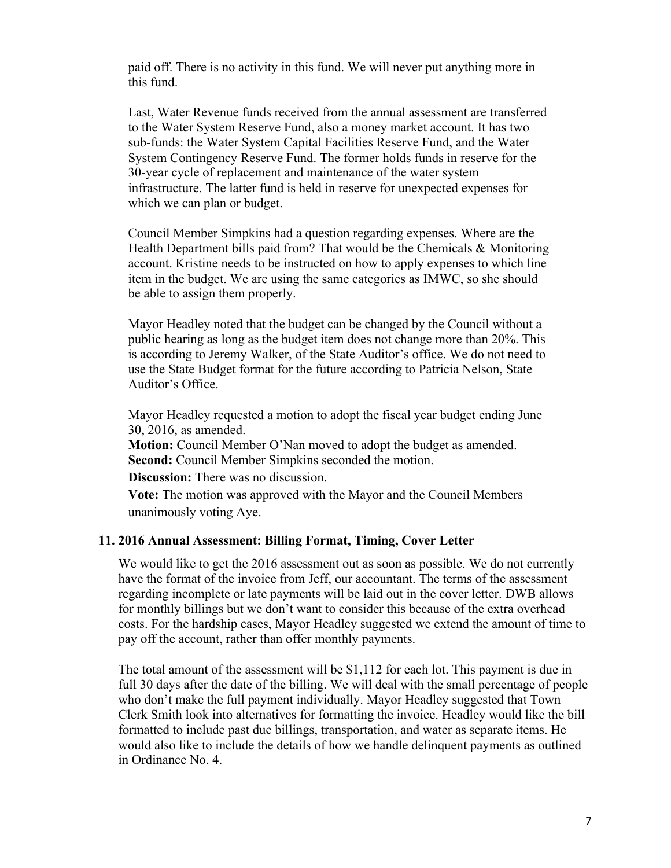paid off. There is no activity in this fund. We will never put anything more in this fund.

Last, Water Revenue funds received from the annual assessment are transferred to the Water System Reserve Fund, also a money market account. It has two sub-funds: the Water System Capital Facilities Reserve Fund, and the Water System Contingency Reserve Fund. The former holds funds in reserve for the 30-year cycle of replacement and maintenance of the water system infrastructure. The latter fund is held in reserve for unexpected expenses for which we can plan or budget.

Council Member Simpkins had a question regarding expenses. Where are the Health Department bills paid from? That would be the Chemicals & Monitoring account. Kristine needs to be instructed on how to apply expenses to which line item in the budget. We are using the same categories as IMWC, so she should be able to assign them properly.

Mayor Headley noted that the budget can be changed by the Council without a public hearing as long as the budget item does not change more than 20%. This is according to Jeremy Walker, of the State Auditor's office. We do not need to use the State Budget format for the future according to Patricia Nelson, State Auditor's Office.

Mayor Headley requested a motion to adopt the fiscal year budget ending June 30, 2016, as amended.

**Motion:** Council Member O'Nan moved to adopt the budget as amended. **Second:** Council Member Simpkins seconded the motion.

**Discussion:** There was no discussion.

**Vote:** The motion was approved with the Mayor and the Council Members unanimously voting Aye.

### **11. 2016 Annual Assessment: Billing Format, Timing, Cover Letter**

We would like to get the 2016 assessment out as soon as possible. We do not currently have the format of the invoice from Jeff, our accountant. The terms of the assessment regarding incomplete or late payments will be laid out in the cover letter. DWB allows for monthly billings but we don't want to consider this because of the extra overhead costs. For the hardship cases, Mayor Headley suggested we extend the amount of time to pay off the account, rather than offer monthly payments.

The total amount of the assessment will be \$1,112 for each lot. This payment is due in full 30 days after the date of the billing. We will deal with the small percentage of people who don't make the full payment individually. Mayor Headley suggested that Town Clerk Smith look into alternatives for formatting the invoice. Headley would like the bill formatted to include past due billings, transportation, and water as separate items. He would also like to include the details of how we handle delinquent payments as outlined in Ordinance No. 4.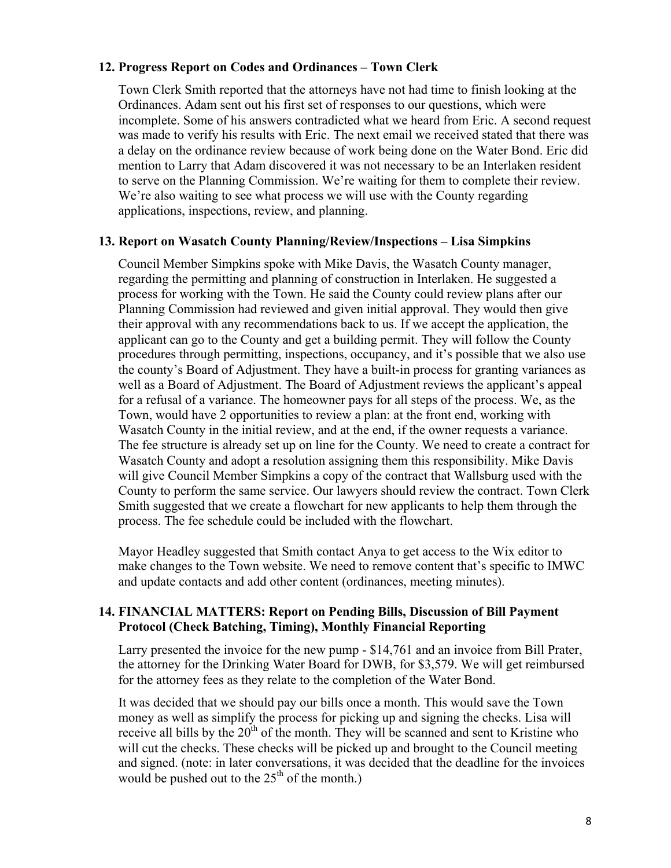### **12. Progress Report on Codes and Ordinances – Town Clerk**

Town Clerk Smith reported that the attorneys have not had time to finish looking at the Ordinances. Adam sent out his first set of responses to our questions, which were incomplete. Some of his answers contradicted what we heard from Eric. A second request was made to verify his results with Eric. The next email we received stated that there was a delay on the ordinance review because of work being done on the Water Bond. Eric did mention to Larry that Adam discovered it was not necessary to be an Interlaken resident to serve on the Planning Commission. We're waiting for them to complete their review. We're also waiting to see what process we will use with the County regarding applications, inspections, review, and planning.

### **13. Report on Wasatch County Planning/Review/Inspections – Lisa Simpkins**

Council Member Simpkins spoke with Mike Davis, the Wasatch County manager, regarding the permitting and planning of construction in Interlaken. He suggested a process for working with the Town. He said the County could review plans after our Planning Commission had reviewed and given initial approval. They would then give their approval with any recommendations back to us. If we accept the application, the applicant can go to the County and get a building permit. They will follow the County procedures through permitting, inspections, occupancy, and it's possible that we also use the county's Board of Adjustment. They have a built-in process for granting variances as well as a Board of Adjustment. The Board of Adjustment reviews the applicant's appeal for a refusal of a variance. The homeowner pays for all steps of the process. We, as the Town, would have 2 opportunities to review a plan: at the front end, working with Wasatch County in the initial review, and at the end, if the owner requests a variance. The fee structure is already set up on line for the County. We need to create a contract for Wasatch County and adopt a resolution assigning them this responsibility. Mike Davis will give Council Member Simpkins a copy of the contract that Wallsburg used with the County to perform the same service. Our lawyers should review the contract. Town Clerk Smith suggested that we create a flowchart for new applicants to help them through the process. The fee schedule could be included with the flowchart.

Mayor Headley suggested that Smith contact Anya to get access to the Wix editor to make changes to the Town website. We need to remove content that's specific to IMWC and update contacts and add other content (ordinances, meeting minutes).

### **14. FINANCIAL MATTERS: Report on Pending Bills, Discussion of Bill Payment Protocol (Check Batching, Timing), Monthly Financial Reporting**

Larry presented the invoice for the new pump - \$14,761 and an invoice from Bill Prater, the attorney for the Drinking Water Board for DWB, for \$3,579. We will get reimbursed for the attorney fees as they relate to the completion of the Water Bond.

It was decided that we should pay our bills once a month. This would save the Town money as well as simplify the process for picking up and signing the checks. Lisa will receive all bills by the  $20<sup>th</sup>$  of the month. They will be scanned and sent to Kristine who will cut the checks. These checks will be picked up and brought to the Council meeting and signed. (note: in later conversations, it was decided that the deadline for the invoices would be pushed out to the  $25<sup>th</sup>$  of the month.)